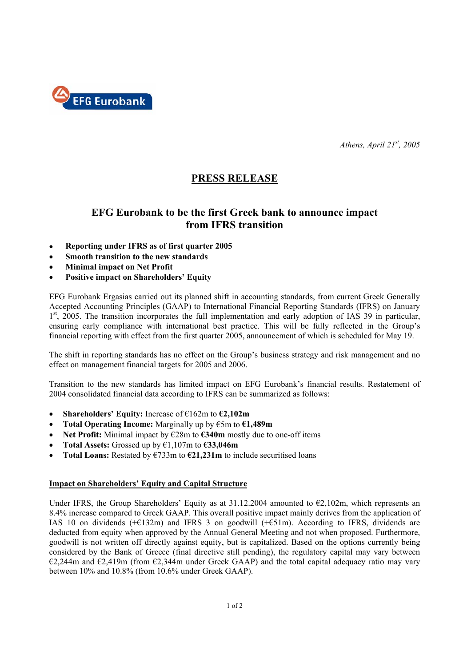

*Athens, April 21st, 2005* 

# **PRESS RELEASE**

## **EFG Eurobank to be the first Greek bank to announce impact from IFRS transition**

- **Reporting under IFRS as of first quarter 2005**
- **Smooth transition to the new standards**
- **Minimal impact on Net Profit**
- **Positive impact on Shareholders' Equity**

EFG Eurobank Ergasias carried out its planned shift in accounting standards, from current Greek Generally Accepted Accounting Principles (GAAP) to International Financial Reporting Standards (IFRS) on January  $1<sup>st</sup>$ , 2005. The transition incorporates the full implementation and early adoption of IAS 39 in particular, ensuring early compliance with international best practice. This will be fully reflected in the Group's financial reporting with effect from the first quarter 2005, announcement of which is scheduled for May 19.

The shift in reporting standards has no effect on the Group's business strategy and risk management and no effect on management financial targets for 2005 and 2006.

Transition to the new standards has limited impact on EFG Eurobank's financial results. Restatement of 2004 consolidated financial data according to IFRS can be summarized as follows:

- **Shareholders' Equity:** Increase of €162m to **€2,102m**
- **Total Operating Income:** Marginally up by €5m to **€1,489m**
- **Net Profit:** Minimal impact by €28m to **€340m** mostly due to one-off items
- **Total Assets:** Grossed up by €1,107m to **€33,046m**
- **Total Loans:** Restated by €733m to **€21,231m** to include securitised loans

### **Impact on Shareholders' Equity and Capital Structure**

Under IFRS, the Group Shareholders' Equity as at  $31.12.2004$  amounted to  $\epsilon$ 2,102m, which represents an 8.4% increase compared to Greek GAAP. This overall positive impact mainly derives from the application of IAS 10 on dividends  $(+E132m)$  and IFRS 3 on goodwill  $(+E51m)$ . According to IFRS, dividends are deducted from equity when approved by the Annual General Meeting and not when proposed. Furthermore, goodwill is not written off directly against equity, but is capitalized. Based on the options currently being considered by the Bank of Greece (final directive still pending), the regulatory capital may vary between  $\epsilon$ 2,244m and  $\epsilon$ 2,419m (from  $\epsilon$ 2,344m under Greek GAAP) and the total capital adequacy ratio may vary between 10% and 10.8% (from 10.6% under Greek GAAP).